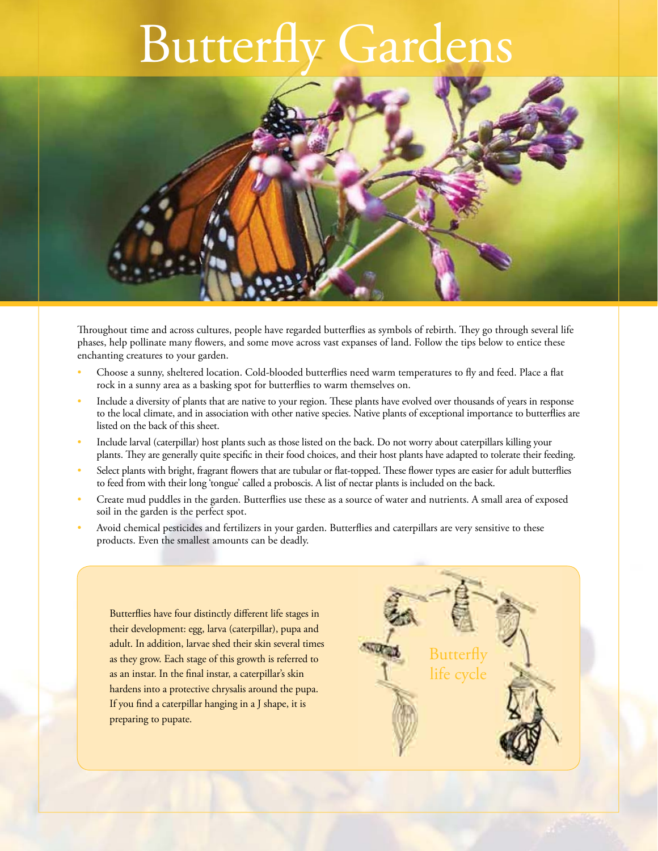# Butterfly Gardens



Throughout time and across cultures, people have regarded butterflies as symbols of rebirth. They go through several life phases, help pollinate many flowers, and some move across vast expanses of land. Follow the tips below to entice these enchanting creatures to your garden.

- Choose a sunny, sheltered location. Cold-blooded butterflies need warm temperatures to fly and feed. Place a flat rock in a sunny area as a basking spot for butterflies to warm themselves on.
- Include a diversity of plants that are native to your region. These plants have evolved over thousands of years in response to the local climate, and in association with other native species. Native plants of exceptional importance to butterflies are listed on the back of this sheet.
- Include larval (caterpillar) host plants such as those listed on the back. Do not worry about caterpillars killing your plants. They are generally quite specific in their food choices, and their host plants have adapted to tolerate their feeding.
- Select plants with bright, fragrant flowers that are tubular or flat-topped. These flower types are easier for adult butterflies to feed from with their long 'tongue' called a proboscis. A list of nectar plants is included on the back.
- Create mud puddles in the garden. Butterflies use these as a source of water and nutrients. A small area of exposed soil in the garden is the perfect spot.
- Avoid chemical pesticides and fertilizers in your garden. Butterflies and caterpillars are very sensitive to these products. Even the smallest amounts can be deadly.

Butterflies have four distinctly different life stages in their development: egg, larva (caterpillar), pupa and adult. In addition, larvae shed their skin several times as they grow. Each stage of this growth is referred to as an instar. In the final instar, a caterpillar's skin hardens into a protective chrysalis around the pupa. If you find a caterpillar hanging in a J shape, it is preparing to pupate.